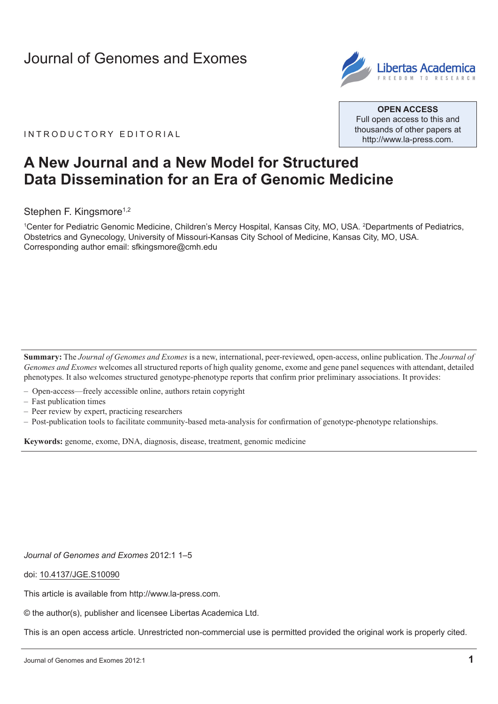# [Journal of Genomes and Exomes](http://www.la-press.com/journal-of-genomes-and-exomes-j173)



IN TRODUCTORY EDITORIAL

**Open Access** Full open access to this and thousands of other papers at <http://www.la-press.com>.

# **A New Journal and a New Model for Structured Data Dissemination for an Era of Genomic Medicine**

Stephen F. Kingsmore<sup>1,2</sup>

1 Center for Pediatric Genomic Medicine, Children's Mercy Hospital, Kansas City, MO, USA. 2 Departments of Pediatrics, Obstetrics and Gynecology, University of Missouri-Kansas City School of Medicine, Kansas City, MO, USA. Corresponding author email: [sfkingsmore@cmh.edu](mailto:sfkingsmore@cmh.edu)

**Summary:** The *Journal of Genomes and Exomes* is a new, international, peer-reviewed, open-access, online publication. The *Journal of Genomes and Exomes* welcomes all structured reports of high quality genome, exome and gene panel sequences with attendant, detailed phenotypes. It also welcomes structured genotype-phenotype reports that confirm prior preliminary associations. It provides:

- Open-access—freely accessible online, authors retain copyright
- Fast publication times
- Peer review by expert, practicing researchers
- Post-publication tools to facilitate community-based meta-analysis for confirmation of genotype-phenotype relationships.

**Keywords:** genome, exome, DNA, diagnosis, disease, treatment, genomic medicine

*[Journal of Genomes and Exomes](http://www.la-press.com/journal-of-experimental-neuroscience-j131)* 2012:1 1–5

doi: [10.4137/JGE.S10090](http://dx.doi.org/10.4137/JGE.S10090)

This article is available from [http://www.la-press.com.](http://www.la-press.com)

© the author(s), publisher and licensee Libertas Academica Ltd.

This is an open access article. Unrestricted non-commercial use is permitted provided the original work is properly cited.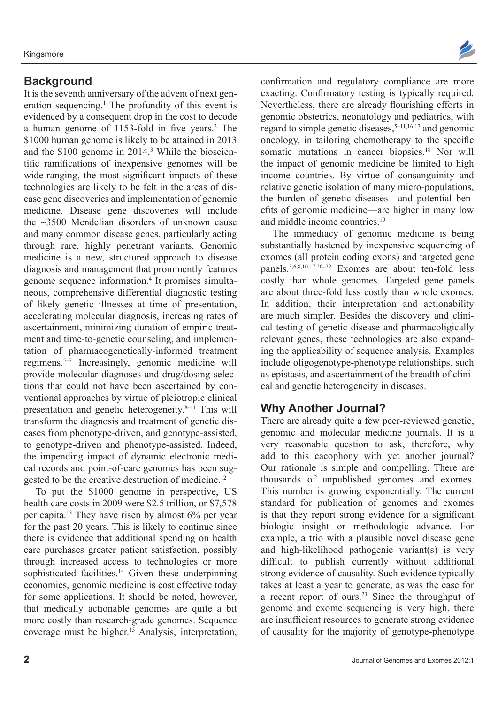#### **Background**

It is the seventh anniversary of the advent of next generation sequencing.<sup>1</sup> The profundity of this event is evidenced by a consequent drop in the cost to decode a human genome of 1153-fold in five years.<sup>2</sup> The \$1000 human genome is likely to be attained in 2013 and the \$100 genome in 2014.3 While the bioscientific ramifications of inexpensive genomes will be wide-ranging, the most significant impacts of these technologies are likely to be felt in the areas of disease gene discoveries and implementation of genomic medicine. Disease gene discoveries will include the ∼3500 Mendelian disorders of unknown cause and many common disease genes, particularly acting through rare, highly penetrant variants. Genomic medicine is a new, structured approach to disease diagnosis and management that prominently features genome sequence information.4 It promises simultaneous, comprehensive differential diagnostic testing of likely genetic illnesses at time of presentation, accelerating molecular diagnosis, increasing rates of ascertainment, minimizing duration of empiric treatment and time-to-genetic counseling, and implementation of pharmacogenetically-informed treatment regimens.5–7 Increasingly, genomic medicine will provide molecular diagnoses and drug/dosing selections that could not have been ascertained by conventional approaches by virtue of pleiotropic clinical presentation and genetic heterogeneity.8–11 This will transform the diagnosis and treatment of genetic diseases from phenotype-driven, and genotype-assisted, to genotype-driven and phenotype-assisted. Indeed, the impending impact of dynamic electronic medical records and point-of-care genomes has been suggested to be the creative destruction of medicine.<sup>12</sup>

To put the \$1000 genome in perspective, US health care costs in 2009 were \$2.5 trillion, or \$7,578 per capita.13 They have risen by almost 6% per year for the past 20 years. This is likely to continue since there is evidence that additional spending on health care purchases greater patient satisfaction, possibly through increased access to technologies or more sophisticated facilities.<sup>14</sup> Given these underpinning economics, genomic medicine is cost effective today for some applications. It should be noted, however, that medically actionable genomes are quite a bit more costly than research-grade genomes. Sequence coverage must be higher.15 Analysis, interpretation,



confirmation and regulatory compliance are more exacting. Confirmatory testing is typically required. Nevertheless, there are already flourishing efforts in genomic obstetrics, neonatology and pediatrics, with regard to simple genetic diseases, $5-11,16,17$  and genomic oncology, in tailoring chemotherapy to the specific somatic mutations in cancer biopsies.<sup>18</sup> Nor will the impact of genomic medicine be limited to high income countries. By virtue of consanguinity and relative genetic isolation of many micro-populations, the burden of genetic diseases—and potential benefits of genomic medicine—are higher in many low and middle income countries.19

The immediacy of genomic medicine is being substantially hastened by inexpensive sequencing of exomes (all protein coding exons) and targeted gene panels.5,6,8,10,17,20–22 Exomes are about ten-fold less costly than whole genomes. Targeted gene panels are about three-fold less costly than whole exomes. In addition, their interpretation and actionability are much simpler. Besides the discovery and clinical testing of genetic disease and pharmacoligically relevant genes, these technologies are also expanding the applicability of sequence analysis. Examples include oligogenotype-phenotype relationships, such as epistasis, and ascertainment of the breadth of clinical and genetic heterogeneity in diseases.

## **Why Another Journal?**

There are already quite a few peer-reviewed genetic, genomic and molecular medicine journals. It is a very reasonable question to ask, therefore, why add to this cacophony with yet another journal? Our rationale is simple and compelling. There are thousands of unpublished genomes and exomes. This number is growing exponentially. The current standard for publication of genomes and exomes is that they report strong evidence for a significant biologic insight or methodologic advance. For example, a trio with a plausible novel disease gene and high-likelihood pathogenic variant(s) is very difficult to publish currently without additional strong evidence of causality. Such evidence typically takes at least a year to generate, as was the case for a recent report of ours.23 Since the throughput of genome and exome sequencing is very high, there are insufficient resources to generate strong evidence of causality for the majority of genotype-phenotype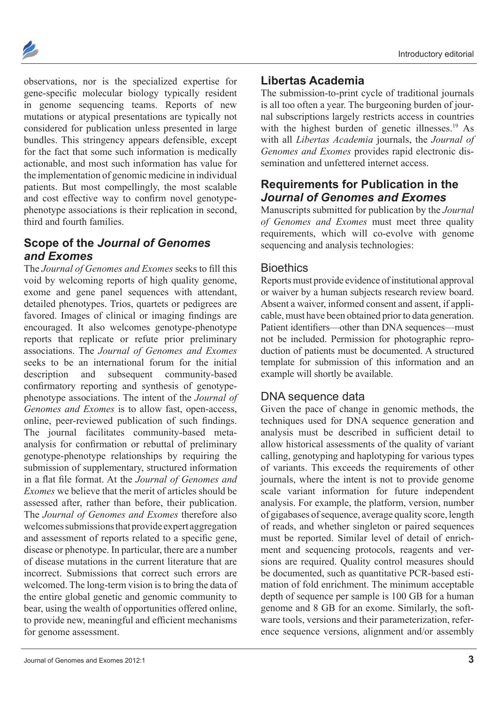

observations, nor is the specialized expertise for gene-specific molecular biology typically resident in genome sequencing teams. Reports of new mutations or atypical presentations are typically not considered for publication unless presented in large bundles. This stringency appears defensible, except for the fact that some such information is medically actionable, and most such information has value for the implementation of genomic medicine in individual patients. But most compellingly, the most scalable and cost effective way to confirm novel genotypephenotype associations is their replication in second, third and fourth families.

# **Scope of the** *Journal of Genomes and Exomes*

The *Journal of Genomes and Exomes* seeks to fill this void by welcoming reports of high quality genome, exome and gene panel sequences with attendant, detailed phenotypes. Trios, quartets or pedigrees are favored. Images of clinical or imaging findings are encouraged. It also welcomes genotype-phenotype reports that replicate or refute prior preliminary associations. The *Journal of Genomes and Exomes* seeks to be an international forum for the initial description and subsequent community-based confirmatory reporting and synthesis of genotypephenotype associations. The intent of the *Journal of Genomes and Exomes* is to allow fast, open-access, online, peer-reviewed publication of such findings. The journal facilitates community-based metaanalysis for confirmation or rebuttal of preliminary genotype-phenotype relationships by requiring the submission of supplementary, structured information in a flat file format. At the *Journal of Genomes and Exomes* we believe that the merit of articles should be assessed after, rather than before, their publication. The *Journal of Genomes and Exomes* therefore also welcomes submissions that provide expert aggregation and assessment of reports related to a specific gene, disease or phenotype. In particular, there are a number of disease mutations in the current literature that are incorrect. Submissions that correct such errors are welcomed. The long-term vision is to bring the data of the entire global genetic and genomic community to bear, using the wealth of opportunities offered online, to provide new, meaningful and efficient mechanisms for genome assessment.

#### **Libertas Academia**

The submission-to-print cycle of traditional journals is all too often a year. The burgeoning burden of journal subscriptions largely restricts access in countries with the highest burden of genetic illnesses.<sup>19</sup> As with all *Libertas Academia* journals, the *Journal of Genomes and Exomes* provides rapid electronic dissemination and unfettered internet access.

# **Requirements for Publication in the**  *Journal of Genomes and Exomes*

Manuscripts submitted for publication by the *Journal of Genomes and Exomes* must meet three quality requirements, which will co-evolve with genome sequencing and analysis technologies:

## **Bioethics**

Reports must provide evidence of institutional approval or waiver by a human subjects research review board. Absent a waiver, informed consent and assent, if applicable, must have been obtained prior to data generation. Patient identifiers—other than DNA sequences—must not be included. Permission for photographic reproduction of patients must be documented. A structured template for submission of this information and an example will shortly be available.

## DNA sequence data

Given the pace of change in genomic methods, the techniques used for DNA sequence generation and analysis must be described in sufficient detail to allow historical assessments of the quality of variant calling, genotyping and haplotyping for various types of variants. This exceeds the requirements of other journals, where the intent is not to provide genome scale variant information for future independent analysis. For example, the platform, version, number of gigabases of sequence, average quality score, length of reads, and whether singleton or paired sequences must be reported. Similar level of detail of enrichment and sequencing protocols, reagents and versions are required. Quality control measures should be documented, such as quantitative PCR-based estimation of fold enrichment. The minimum acceptable depth of sequence per sample is 100 GB for a human genome and 8 GB for an exome. Similarly, the software tools, versions and their parameterization, reference sequence versions, alignment and/or assembly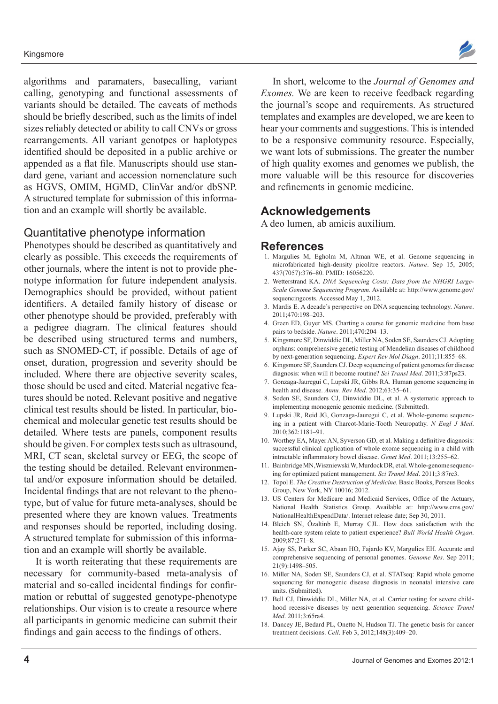#### Kingsmore



#### Quantitative phenotype information

Phenotypes should be described as quantitatively and clearly as possible. This exceeds the requirements of other journals, where the intent is not to provide phenotype information for future independent analysis. Demographics should be provided, without patient identifiers. A detailed family history of disease or other phenotype should be provided, preferably with a pedigree diagram. The clinical features should be described using structured terms and numbers, such as SNOMED-CT, if possible. Details of age of onset, duration, progression and severity should be included. Where there are objective severity scales, those should be used and cited. Material negative features should be noted. Relevant positive and negative clinical test results should be listed. In particular, biochemical and molecular genetic test results should be detailed. Where tests are panels, component results should be given. For complex tests such as ultrasound, MRI, CT scan, skeletal survey or EEG, the scope of the testing should be detailed. Relevant environmental and/or exposure information should be detailed. Incidental findings that are not relevant to the phenotype, but of value for future meta-analyses, should be presented where they are known values. Treatments and responses should be reported, including dosing. A structured template for submission of this information and an example will shortly be available.

It is worth reiterating that these requirements are necessary for community-based meta-analysis of material and so-called incidental findings for confirmation or rebuttal of suggested genotype-phenotype relationships. Our vision is to create a resource where all participants in genomic medicine can submit their findings and gain access to the findings of others.

In short, welcome to the *Journal of Genomes and Exomes.* We are keen to receive feedback regarding the journal's scope and requirements. As structured templates and examples are developed, we are keen to hear your comments and suggestions. This is intended to be a responsive community resource. Especially, we want lots of submissions. The greater the number of high quality exomes and genomes we publish, the more valuable will be this resource for discoveries and refinements in genomic medicine.

#### **Acknowledgements**

A deo lumen, ab amicis auxilium.

#### **References**

- 1. Margulies M, Egholm M, Altman WE, et al. Genome sequencing in microfabricated high-density picolitre reactors. *Nature*. Sep 15, 2005; 437(7057):376–80. PMID: 16056220.
- 2. Wetterstrand KA. *DNA Sequencing Costs: Data from the NHGRI Large-Scale Genome Sequencing Program.* Available at: http://[www.genome.gov/](www.genome.gov/sequencingcosts) [sequencingcosts.](www.genome.gov/sequencingcosts) Accessed May 1, 2012.
- 3. Mardis E. A decade's perspective on DNA sequencing technology. *Nature*. 2011;470:198–203.
- 4. Green ED, Guyer MS. Charting a course for genomic medicine from base pairs to bedside. *Nature*. 2011;470:204–13.
- 5. Kingsmore SF, Dinwiddie DL, Miller NA, Soden SE, Saunders CJ. Adopting orphans: comprehensive genetic testing of Mendelian diseases of childhood by next-generation sequencing. *Expert Rev Mol Diagn*. 2011;11:855–68.
- 6. Kingsmore SF, Saunders CJ. Deep sequencing of patient genomes for disease diagnosis: when will it become routine? *Sci Transl Med*. 2011;3:87ps23.
- 7. Gonzaga-Jauregui C, Lupski JR, Gibbs RA. Human genome sequencing in health and disease. *Annu. Rev Med*. 2012;63:35–61.
- 8. Soden SE, Saunders CJ, Dinwiddie DL, et al. A systematic approach to implementing monogenic genomic medicine. (Submitted).
- 9. Lupski JR, Reid JG, Gonzaga-Jauregui C, et al. Whole-genome sequencing in a patient with Charcot-Marie-Tooth Neuropathy. *N Engl J Med*. 2010;362:1181–91.
- 10. Worthey EA, Mayer AN, Syverson GD, et al. Making a definitive diagnosis: successful clinical application of whole exome sequencing in a child with intractable inflammatory bowel disease. *Genet Med*. 2011;13:255–62.
- 11. Bainbridge MN,Wiszniewski W, Murdock DR, et al. Whole-genome sequencing for optimized patient management. *Sci Transl Med*. 2011;3:87re3.
- 12. Topol E. *The Creative Destruction of Medicine.* Basic Books, Perseus Books Group, New York, NY 10016; 2012.
- 13. US Centers for Medicare and Medicaid Services, Office of the Actuary, National Health Statistics Group. Available at: http://[www.cms.gov/](www.cms.gov/NationalHealthExpendData/) [NationalHealthExpendData/.](www.cms.gov/NationalHealthExpendData/) Internet release date; Sep 30, 2011.
- 14. Bleich SN, Özaltinb E, Murray CJL. How does satisfaction with the health-care system relate to patient experience? *Bull World Health Organ*. 2009;87:271–8.
- 15. Ajay SS, Parker SC, Abaan HO, Fajardo KV, Margulies EH. Accurate and comprehensive sequencing of personal genomes. *Genome Res*. Sep 2011; 21(9):1498–505.
- 16. Miller NA, Soden SE, Saunders CJ, et al. STATseq: Rapid whole genome sequencing for monogenic disease diagnosis in neonatal intensive care units. (Submitted).
- 17. Bell CJ, Dinwiddie DL, Miller NA, et al. Carrier testing for severe childhood recessive diseases by next generation sequencing. *Science Transl Med*. 2011;3:65ra4.
- 18. Dancey JE, Bedard PL, Onetto N, Hudson TJ. The genetic basis for cancer treatment decisions. *Cell*. Feb 3, 2012;148(3):409–20.